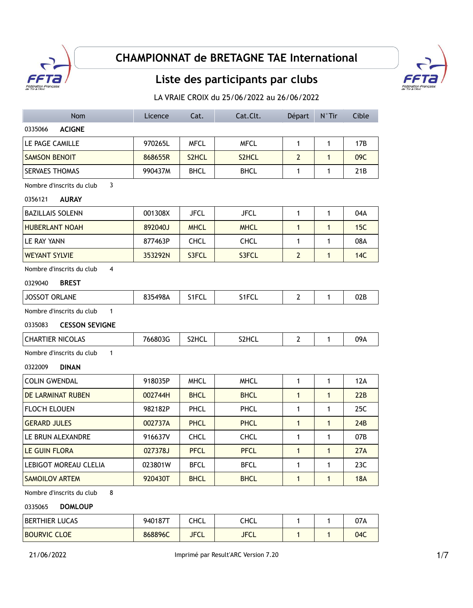

## **CHAMPIONNAT de BRETAGNE TAE International**

## **Liste des participants par clubs**



LA VRAIE CROIX du 25/06/2022 au 26/06/2022

| <b>Nom</b>                                  | Licence | Cat.        | Cat.Clt.    | Départ         | N°Tir        | Cible      |  |  |  |  |
|---------------------------------------------|---------|-------------|-------------|----------------|--------------|------------|--|--|--|--|
| 0335066<br><b>ACIGNE</b>                    |         |             |             |                |              |            |  |  |  |  |
| LE PAGE CAMILLE                             | 970265L | <b>MFCL</b> | <b>MFCL</b> | 1              | $\mathbf{1}$ | 17B        |  |  |  |  |
| <b>SAMSON BENOIT</b>                        | 868655R | S2HCL       | S2HCL       | $\overline{2}$ | $\mathbf{1}$ | 09C        |  |  |  |  |
| <b>SERVAES THOMAS</b>                       | 990437M | <b>BHCL</b> | <b>BHCL</b> | $\mathbf{1}$   | $\mathbf{1}$ | 21B        |  |  |  |  |
| Nombre d'inscrits du club<br>3              |         |             |             |                |              |            |  |  |  |  |
| 0356121<br><b>AURAY</b>                     |         |             |             |                |              |            |  |  |  |  |
| <b>BAZILLAIS SOLENN</b>                     | 001308X | <b>JFCL</b> | <b>JFCL</b> | 1              | 1            | 04A        |  |  |  |  |
| <b>HUBERLANT NOAH</b>                       | 892040J | <b>MHCL</b> | <b>MHCL</b> | $\mathbf{1}$   | $\mathbf{1}$ | 15C        |  |  |  |  |
| LE RAY YANN                                 | 877463P | <b>CHCL</b> | <b>CHCL</b> | 1              | 1            | 08A        |  |  |  |  |
| <b>WEYANT SYLVIE</b>                        | 353292N | S3FCL       | S3FCL       | $\overline{2}$ | $\mathbf{1}$ | 14C        |  |  |  |  |
| Nombre d'inscrits du club<br>$\overline{4}$ |         |             |             |                |              |            |  |  |  |  |
| 0329040<br><b>BREST</b>                     |         |             |             |                |              |            |  |  |  |  |
| <b>JOSSOT ORLANE</b>                        | 835498A | S1FCL       | S1FCL       | $\overline{2}$ | $\mathbf{1}$ | 02B        |  |  |  |  |
| Nombre d'inscrits du club<br>$\mathbf{1}$   |         |             |             |                |              |            |  |  |  |  |
| 0335083<br><b>CESSON SEVIGNE</b>            |         |             |             |                |              |            |  |  |  |  |
| <b>CHARTIER NICOLAS</b>                     | 766803G | S2HCL       | S2HCL       | $\overline{2}$ | $\mathbf{1}$ | 09A        |  |  |  |  |
| $\mathbf{1}$<br>Nombre d'inscrits du club   |         |             |             |                |              |            |  |  |  |  |
| 0322009<br><b>DINAN</b>                     |         |             |             |                |              |            |  |  |  |  |
| <b>COLIN GWENDAL</b>                        | 918035P | <b>MHCL</b> | <b>MHCL</b> | 1              | 1            | 12A        |  |  |  |  |
| DE LARMINAT RUBEN                           | 002744H | <b>BHCL</b> | <b>BHCL</b> | $\mathbf{1}$   | $\mathbf{1}$ | 22B        |  |  |  |  |
| <b>FLOC'H ELOUEN</b>                        | 982182P | <b>PHCL</b> | <b>PHCL</b> | $\mathbf{1}$   | 1            | 25C        |  |  |  |  |
| <b>GERARD JULES</b>                         | 002737A | <b>PHCL</b> | <b>PHCL</b> | $\mathbf{1}$   | $\mathbf{1}$ | 24B        |  |  |  |  |
| LE BRUN ALEXANDRE                           | 916637V | <b>CHCL</b> | <b>CHCL</b> | $\mathbf{1}$   | 1            | 07B        |  |  |  |  |
| LE GUIN FLORA                               | 027378J | <b>PFCL</b> | <b>PFCL</b> | $\mathbf{1}$   | $\mathbf{1}$ | 27A        |  |  |  |  |
| <b>LEBIGOT MOREAU CLELIA</b>                | 023801W | <b>BFCL</b> | <b>BFCL</b> | 1              | $\mathbf{1}$ | 23C        |  |  |  |  |
| SAMOILOV ARTEM                              | 920430T | <b>BHCL</b> | <b>BHCL</b> | $\mathbf{1}$   | $\mathbf{1}$ | <b>18A</b> |  |  |  |  |
| 8<br>Nombre d'inscrits du club              |         |             |             |                |              |            |  |  |  |  |
|                                             |         |             |             |                |              |            |  |  |  |  |

0335065 **DOMLOUP**

| BERTHIER LUCAS      | 940187T | CHCL                 | CHCL        |  | 07A |
|---------------------|---------|----------------------|-------------|--|-----|
| <b>BOURVIC CLOE</b> | 868896C | IECI<br><b>JI ㄴㄴ</b> | <b>JFCL</b> |  | 04C |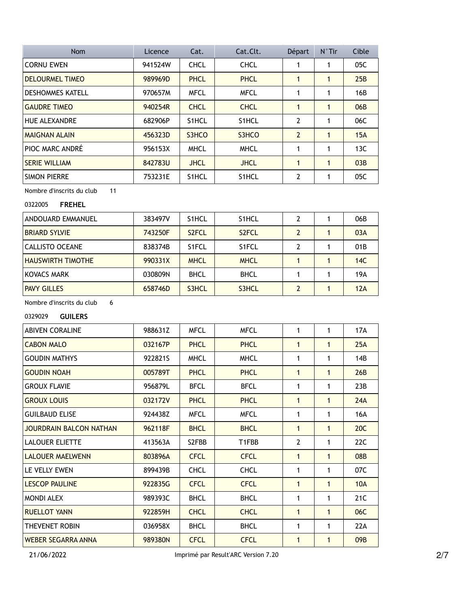| <b>Nom</b>              | Licence | Cat.        | Cat.Clt.           | Départ         | $N^{\circ}$ Tir | Cible |
|-------------------------|---------|-------------|--------------------|----------------|-----------------|-------|
| <b>CORNU EWEN</b>       | 941524W | <b>CHCL</b> | <b>CHCL</b>        | 1              | 1               | 05C   |
| <b>DELOURMEL TIMEO</b>  | 989969D | <b>PHCL</b> | <b>PHCL</b>        | 1              | 1               | 25B   |
| <b>DESHOMMES KATELL</b> | 970657M | <b>MFCL</b> | <b>MFCL</b>        | 1              | 1               | 16B   |
| <b>GAUDRE TIMEO</b>     | 940254R | <b>CHCL</b> | <b>CHCL</b>        | 1              | $\mathbf{1}$    | 06B   |
| <b>HUE ALEXANDRE</b>    | 682906P | S1HCL       | S1HCL              | $\overline{2}$ | 1               | 06C   |
| <b>MAIGNAN ALAIN</b>    | 456323D | S3HCO       | S3HCO              | $\overline{2}$ | $\mathbf{1}$    | 15A   |
| PIOC MARC ANDRÉ         | 956153X | <b>MHCL</b> | <b>MHCL</b>        | 1              | 1               | 13C   |
| <b>SERIE WILLIAM</b>    | 842783U | <b>JHCL</b> | <b>JHCL</b>        | 1              | $\mathbf{1}$    | 03B   |
| <b>SIMON PIERRE</b>     | 753231E | S1HCL       | S <sub>1</sub> HCL | $\overline{2}$ | 1               | 05C   |

Nombre d'inscrits du club 11

## 0322005 **FREHEL**

| ANDOUARD EMMANUEL        | 383497V | S <sub>1</sub> HCL | S <sub>1</sub> HCL | 2 | 06B |
|--------------------------|---------|--------------------|--------------------|---|-----|
| <b>BRIARD SYLVIE</b>     | 743250F | S <sub>2</sub> FCL | S <sub>2</sub> FCL | 2 | 03A |
| CALLISTO OCEANE          | 838374B | S <sub>1</sub> FCL | S <sub>1</sub> FCL | 2 | 01B |
| <b>HAUSWIRTH TIMOTHE</b> | 990331X | <b>MHCL</b>        | <b>MHCL</b>        |   | 14C |
| KOVACS MARK              | 030809N | <b>BHCL</b>        | <b>BHCL</b>        |   | 19A |
| <b>PAVY GILLES</b>       | 658746D | S3HCL              | S3HCL              |   | 12A |

Nombre d'inscrits du club 6

0329029 **GUILERS**

| <b>ABIVEN CORALINE</b>         | 988631Z | <b>MFCL</b> | <b>MFCL</b> | 1              | 1            | 17A             |
|--------------------------------|---------|-------------|-------------|----------------|--------------|-----------------|
| <b>CABON MALO</b>              | 032167P | <b>PHCL</b> | <b>PHCL</b> | $\mathbf{1}$   | 1            | 25A             |
| <b>GOUDIN MATHYS</b>           | 922821S | <b>MHCL</b> | <b>MHCL</b> | 1              | 1            | 14B             |
| <b>GOUDIN NOAH</b>             | 005789T | <b>PHCL</b> | <b>PHCL</b> | $\mathbf{1}$   | 1            | 26B             |
| <b>GROUX FLAVIE</b>            | 956879L | <b>BFCL</b> | <b>BFCL</b> | 1              | 1            | 23B             |
| <b>GROUX LOUIS</b>             | 032172V | <b>PHCL</b> | <b>PHCL</b> | $\mathbf{1}$   | $\mathbf{1}$ | 24A             |
| <b>GUILBAUD ELISE</b>          | 924438Z | <b>MFCL</b> | <b>MFCL</b> | 1              | 1            | 16A             |
| <b>JOURDRAIN BALCON NATHAN</b> | 962118F | <b>BHCL</b> | <b>BHCL</b> | 1              | 1            | 20C             |
| <b>LALOUER ELIETTE</b>         | 413563A | S2FBB       | T1FBB       | $\overline{2}$ | 1            | 22C             |
| <b>LALOUER MAELWENN</b>        | 803896A | <b>CFCL</b> | <b>CFCL</b> | $\mathbf{1}$   | 1            | 08 <sub>B</sub> |
| LE VELLY EWEN                  | 899439B | <b>CHCL</b> | <b>CHCL</b> | 1              | 1            | 07C             |
| <b>LESCOP PAULINE</b>          | 922835G | <b>CFCL</b> | <b>CFCL</b> | $\mathbf{1}$   | 1            | <b>10A</b>      |
| <b>MONDI ALEX</b>              | 989393C | <b>BHCL</b> | <b>BHCL</b> | 1              | 1            | 21C             |
| <b>RUELLOT YANN</b>            | 922859H | <b>CHCL</b> | <b>CHCL</b> | $\mathbf{1}$   | 1            | 06C             |
| THEVENET ROBIN                 | 036958X | <b>BHCL</b> | <b>BHCL</b> | 1              | 1            | 22A             |
| <b>WEBER SEGARRA ANNA</b>      | 989380N | <b>CFCL</b> | <b>CFCL</b> | $\mathbf{1}$   | 1            | 09B             |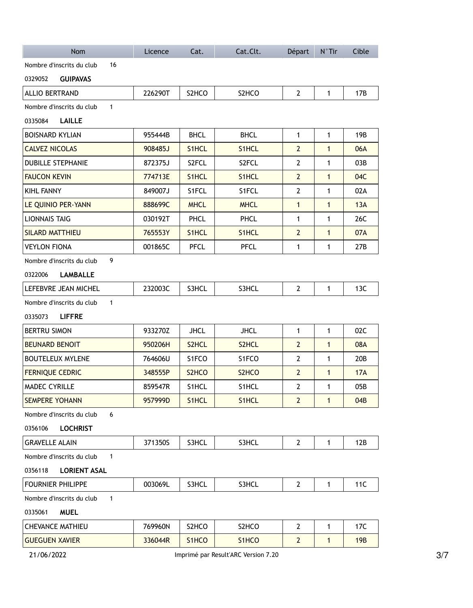| Nom                                       | Licence | Cat.        | Cat.Clt.                            | Départ         | $N^{\circ}$ Tir | Cible      |
|-------------------------------------------|---------|-------------|-------------------------------------|----------------|-----------------|------------|
| Nombre d'inscrits du club<br>16           |         |             |                                     |                |                 |            |
| <b>GUIPAVAS</b><br>0329052                |         |             |                                     |                |                 |            |
| <b>ALLIO BERTRAND</b>                     | 226290T | S2HCO       | S2HCO                               | $2^{\circ}$    | $\mathbf{1}$    | 17B        |
| Nombre d'inscrits du club<br>$\mathbf{1}$ |         |             |                                     |                |                 |            |
| 0335084<br><b>LAILLE</b>                  |         |             |                                     |                |                 |            |
| <b>BOISNARD KYLIAN</b>                    | 955444B | <b>BHCL</b> | <b>BHCL</b>                         | $\mathbf{1}$   | $\mathbf{1}$    | 19B        |
| <b>CALVEZ NICOLAS</b>                     | 908485J | S1HCL       | S1HCL                               | $\overline{2}$ | $\mathbf{1}$    | 06A        |
| <b>DUBILLE STEPHANIE</b>                  | 872375J | S2FCL       | S2FCL                               | $\mathbf{2}$   | 1               | 03B        |
| <b>FAUCON KEVIN</b>                       | 774713E | S1HCL       | S1HCL                               | $\overline{2}$ | $\mathbf{1}$    | 04C        |
| KIHL FANNY                                | 849007J | S1FCL       | S1FCL                               | $\mathbf{2}$   | 1               | 02A        |
| LE QUINIO PER-YANN                        | 888699C | <b>MHCL</b> | <b>MHCL</b>                         | $\mathbf{1}$   | $\mathbf{1}$    | 13A        |
| <b>LIONNAIS TAIG</b>                      | 030192T | PHCL        | PHCL                                | 1              | 1               | 26C        |
| <b>SILARD MATTHIEU</b>                    | 765553Y | S1HCL       | S1HCL                               | $\mathbf{2}$   | $\mathbf{1}$    | 07A        |
| <b>VEYLON FIONA</b>                       | 001865C | PFCL        | <b>PFCL</b>                         | 1              | 1               | 27B        |
| 9<br>Nombre d'inscrits du club            |         |             |                                     |                |                 |            |
| 0322006<br><b>LAMBALLE</b>                |         |             |                                     |                |                 |            |
| LEFEBVRE JEAN MICHEL                      | 232003C | S3HCL       | S3HCL                               | $\mathbf{2}$   | $\mathbf{1}$    | 13C        |
| $\mathbf{1}$<br>Nombre d'inscrits du club |         |             |                                     |                |                 |            |
| 0335073<br><b>LIFFRE</b>                  |         |             |                                     |                |                 |            |
| <b>BERTRU SIMON</b>                       | 933270Z | <b>JHCL</b> | <b>JHCL</b>                         | $\mathbf{1}$   | $\mathbf{1}$    | 02C        |
| <b>BEUNARD BENOIT</b>                     | 950206H | S2HCL       | S2HCL                               | $\overline{2}$ | $\mathbf{1}$    | 08A        |
| <b>BOUTELEUX MYLENE</b>                   | 764606U | S1FCO       | S1FCO                               | $\mathbf{2}$   | 1               | 20B        |
| <b>FERNIQUE CEDRIC</b>                    | 348555P | S2HCO       | S2HCO                               | $\overline{2}$ | $\mathbf{1}$    | 17A        |
| MADEC CYRILLE                             | 859547R | S1HCL       | S1HCL                               | $\mathbf{2}$   | 1               | 05B        |
| <b>SEMPERE YOHANN</b>                     | 957999D | S1HCL       | S1HCL                               | $\overline{2}$ | $\mathbf{1}$    | 04B        |
| 6<br>Nombre d'inscrits du club            |         |             |                                     |                |                 |            |
| 0356106<br><b>LOCHRIST</b>                |         |             |                                     |                |                 |            |
| <b>GRAVELLE ALAIN</b>                     | 371350S | S3HCL       | S3HCL                               | $\mathbf{2}$   | 1               | 12B        |
| $\mathbf{1}$<br>Nombre d'inscrits du club |         |             |                                     |                |                 |            |
| 0356118<br><b>LORIENT ASAL</b>            |         |             |                                     |                |                 |            |
| <b>FOURNIER PHILIPPE</b>                  | 003069L | S3HCL       | S3HCL                               | $\mathbf{2}$   | $\mathbf{1}$    | 11C        |
| $\mathbf{1}$<br>Nombre d'inscrits du club |         |             |                                     |                |                 |            |
| 0335061<br><b>MUEL</b>                    |         |             |                                     |                |                 |            |
| <b>CHEVANCE MATHIEU</b>                   | 769960N | S2HCO       | S2HCO                               | $\mathbf{2}$   | 1               | 17C        |
| <b>GUEGUEN XAVIER</b>                     | 336044R | S1HCO       | S1HCO                               | $\overline{2}$ | $\mathbf{1}$    | <b>19B</b> |
| 21/06/2022                                |         |             | Imprimé par Result'ARC Version 7.20 |                |                 |            |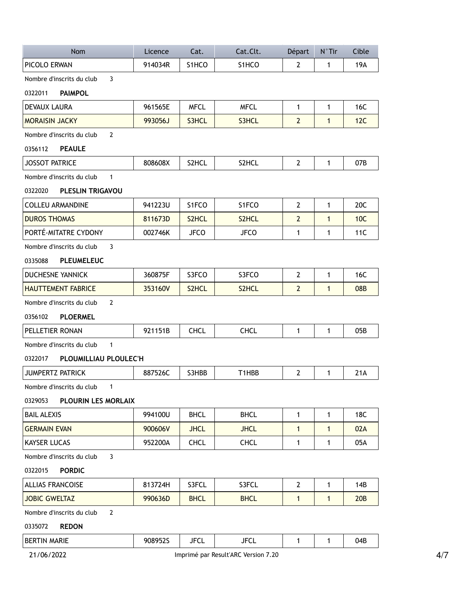| <b>Nom</b>                                  | Licence | Cat.               | Cat.Clt.           | Départ         | $N^{\circ}$ Tir | Cible           |
|---------------------------------------------|---------|--------------------|--------------------|----------------|-----------------|-----------------|
| PICOLO ERWAN                                | 914034R | S1HCO              | S <sub>1</sub> HCO | $\overline{2}$ | $\mathbf{1}$    | 19A             |
| $\overline{3}$<br>Nombre d'inscrits du club |         |                    |                    |                |                 |                 |
| <b>PAIMPOL</b><br>0322011                   |         |                    |                    |                |                 |                 |
| <b>DEVAUX LAURA</b>                         | 961565E | <b>MFCL</b>        | <b>MFCL</b>        | $\mathbf{1}$   | $\mathbf{1}$    | 16C             |
| <b>MORAISIN JACKY</b>                       | 993056J | S3HCL              | S3HCL              | $\overline{2}$ | $\mathbf{1}$    | 12C             |
| $\overline{2}$<br>Nombre d'inscrits du club |         |                    |                    |                |                 |                 |
| <b>PEAULE</b><br>0356112                    |         |                    |                    |                |                 |                 |
| <b>JOSSOT PATRICE</b>                       | 808608X | S2HCL              | S2HCL              | $\overline{2}$ | $\mathbf{1}$    | 07B             |
| Nombre d'inscrits du club<br>$\mathbf{1}$   |         |                    |                    |                |                 |                 |
| <b>PLESLIN TRIGAVOU</b><br>0322020          |         |                    |                    |                |                 |                 |
| <b>COLLEU ARMANDINE</b>                     | 941223U | S1FCO              | S1FCO              | $\overline{2}$ | $\mathbf{1}$    | 20C             |
| <b>DUROS THOMAS</b>                         | 811673D | S <sub>2</sub> HCL | S <sub>2</sub> HCL | $\overline{2}$ | $\mathbf{1}$    | 10C             |
| PORTÉ-MITATRE CYDONY                        | 002746K | JFCO               | <b>JFCO</b>        | 1              | 1               | 11C             |
| Nombre d'inscrits du club<br>3              |         |                    |                    |                |                 |                 |
| <b>PLEUMELEUC</b><br>0335088                |         |                    |                    |                |                 |                 |
| <b>DUCHESNE YANNICK</b>                     | 360875F | S3FCO              | S3FCO              | $\mathbf{2}$   | 1               | 16C             |
| <b>HAUTTEMENT FABRICE</b>                   | 353160V | S2HCL              | S2HCL              | $\overline{2}$ | $\mathbf{1}$    | 08 <sub>B</sub> |
| $\mathbf{2}$<br>Nombre d'inscrits du club   |         |                    |                    |                |                 |                 |
| <b>PLOERMEL</b><br>0356102                  |         |                    |                    |                |                 |                 |
| PELLETIER RONAN                             | 921151B | <b>CHCL</b>        | <b>CHCL</b>        | $\mathbf{1}$   | $\mathbf{1}$    | 05B             |
| Nombre d'inscrits du club<br>$\mathbf{1}$   |         |                    |                    |                |                 |                 |
| PLOUMILLIAU PLOULEC'H<br>0322017            |         |                    |                    |                |                 |                 |
| JUMPERTZ PATRICK                            | 887526C | S3HBB              | T1HBB              | $\mathbf{2}$   | $\mathbf{1}$    | 21A             |
| Nombre d'inscrits du club<br>$\mathbf{1}$   |         |                    |                    |                |                 |                 |
| 0329053<br>PLOURIN LES MORLAIX              |         |                    |                    |                |                 |                 |
| <b>BAIL ALEXIS</b>                          | 994100U | <b>BHCL</b>        | <b>BHCL</b>        | 1              | 1               | 18C             |
| <b>GERMAIN EVAN</b>                         | 900606V | <b>JHCL</b>        | <b>JHCL</b>        | 1              | $\mathbf{1}$    | 02A             |
| <b>KAYSER LUCAS</b>                         | 952200A | <b>CHCL</b>        | <b>CHCL</b>        | 1              | 1               | 05A             |
| 3<br>Nombre d'inscrits du club              |         |                    |                    |                |                 |                 |
| 0322015<br><b>PORDIC</b>                    |         |                    |                    |                |                 |                 |
| <b>ALLIAS FRANCOISE</b>                     | 813724H | S3FCL              | S3FCL              | $\mathbf{2}$   | 1               | 14B             |
| <b>JOBIC GWELTAZ</b>                        | 990636D | <b>BHCL</b>        | <b>BHCL</b>        | $\mathbf{1}$   | $\mathbf{1}$    | 20B             |
| $\overline{2}$<br>Nombre d'inscrits du club |         |                    |                    |                |                 |                 |
| 0335072<br><b>REDON</b>                     |         |                    |                    |                |                 |                 |
| <b>BERTIN MARIE</b>                         | 908952S | <b>JFCL</b>        | <b>JFCL</b>        | $\mathbf{1}$   | $\mathbf{1}$    | 04B             |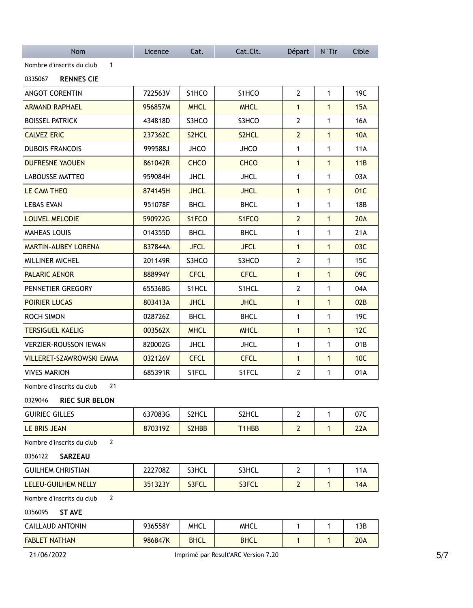| <b>Nom</b>                                  | Licence | Cat.               | Cat.Clt.           | Départ         | $N^{\circ}$ Tir | Cible           |
|---------------------------------------------|---------|--------------------|--------------------|----------------|-----------------|-----------------|
| Nombre d'inscrits du club<br>$\mathbf{1}$   |         |                    |                    |                |                 |                 |
| 0335067<br><b>RENNES CIE</b>                |         |                    |                    |                |                 |                 |
| <b>ANGOT CORENTIN</b>                       | 722563V | S <sub>1</sub> HCO | S <sub>1</sub> HCO | $\overline{2}$ | $\mathbf{1}$    | 19C             |
| <b>ARMAND RAPHAEL</b>                       | 956857M | <b>MHCL</b>        | <b>MHCL</b>        | $\mathbf{1}$   | $\mathbf{1}$    | 15A             |
| <b>BOISSEL PATRICK</b>                      | 434818D | S3HCO              | S3HCO              | 2              | 1               | 16A             |
| <b>CALVEZ ERIC</b>                          | 237362C | S2HCL              | S2HCL              | $\overline{2}$ | $\mathbf{1}$    | <b>10A</b>      |
| <b>DUBOIS FRANCOIS</b>                      | 999588J | <b>JHCO</b>        | <b>JHCO</b>        | 1              | 1               | <b>11A</b>      |
| DUFRESNE YAOUEN                             | 861042R | <b>CHCO</b>        | <b>CHCO</b>        | $\mathbf{1}$   | $\mathbf{1}$    | 11B             |
| <b>LABOUSSE MATTEO</b>                      | 959084H | <b>JHCL</b>        | <b>JHCL</b>        | $\mathbf{1}$   | $\mathbf 1$     | 03A             |
| LE CAM THEO                                 | 874145H | <b>JHCL</b>        | <b>JHCL</b>        | $\mathbf{1}$   | $\mathbf{1}$    | 01C             |
| <b>LEBAS EVAN</b>                           | 951078F | <b>BHCL</b>        | <b>BHCL</b>        | 1              | $\mathbf{1}$    | 18 <sub>B</sub> |
| <b>LOUVEL MELODIE</b>                       | 590922G | S1FCO              | S <sub>1</sub> FCO | $\overline{2}$ | $\mathbf{1}$    | 20A             |
| <b>MAHEAS LOUIS</b>                         | 014355D | <b>BHCL</b>        | <b>BHCL</b>        | 1              | $\mathbf{1}$    | 21A             |
| <b>MARTIN-AUBEY LORENA</b>                  | 837844A | <b>JFCL</b>        | <b>JFCL</b>        | $\mathbf{1}$   | $\mathbf{1}$    | 03C             |
| MILLINER MICHEL                             | 201149R | S3HCO              | S3HCO              | $\mathbf{2}$   | $\mathbf{1}$    | 15C             |
| <b>PALARIC AENOR</b>                        | 888994Y | <b>CFCL</b>        | <b>CFCL</b>        | $\mathbf{1}$   | $\mathbf{1}$    | 09C             |
| PENNETIER GREGORY                           | 655368G | S1HCL              | S1HCL              | $\overline{2}$ | 1               | 04A             |
| <b>POIRIER LUCAS</b>                        | 803413A | <b>JHCL</b>        | <b>JHCL</b>        | $\mathbf{1}$   | $\mathbf{1}$    | 02B             |
| <b>ROCH SIMON</b>                           | 028726Z | <b>BHCL</b>        | <b>BHCL</b>        | 1              | 1               | 19C             |
| <b>TERSIGUEL KAELIG</b>                     | 003562X | <b>MHCL</b>        | <b>MHCL</b>        | $\mathbf{1}$   | $\mathbf{1}$    | 12C             |
| <b>VERZIER-ROUSSON IEWAN</b>                | 820002G | <b>JHCL</b>        | <b>JHCL</b>        | $\mathbf{1}$   | 1               | 01B             |
| <b>VILLERET-SZAWROWSKI EMMA</b>             | 032126V | <b>CFCL</b>        | <b>CFCL</b>        | $\mathbf{1}$   | $\mathbf{1}$    | 10C             |
| <b>VIVES MARION</b>                         | 685391R | S1FCL              | S1FCL              | $\mathbf{2}$   | 1               | 01A             |
| Nombre d'inscrits du club<br>21             |         |                    |                    |                |                 |                 |
| 0329046 RIEC SUR BELON                      |         |                    |                    |                |                 |                 |
| <b>GUIRIEC GILLES</b>                       | 637083G | S2HCL              | S2HCL              | $\overline{2}$ | $\mathbf{1}$    | 07C             |
| LE BRIS JEAN                                | 870319Z | S2HBB              | T1HBB              | $\overline{2}$ | $\mathbf{1}$    | 22A             |
| $\overline{2}$<br>Nombre d'inscrits du club |         |                    |                    |                |                 |                 |
| SARZEAU<br>0356122                          |         |                    |                    |                |                 |                 |
| <b>GUILHEM CHRISTIAN</b>                    | 222708Z | S3HCL              | S3HCL              | $\overline{2}$ | $\mathbf{1}$    | <b>11A</b>      |
| LELEU-GUILHEM NELLY                         | 351323Y | S3FCL              | S3FCL              | $\overline{2}$ | 1               | <b>14A</b>      |
| $\overline{2}$<br>Nombre d'inscrits du club |         |                    |                    |                |                 |                 |
| 0356095<br><b>ST AVE</b>                    |         |                    |                    |                |                 |                 |
| <b>CAILLAUD ANTONIN</b>                     | 936558Y | <b>MHCL</b>        | <b>MHCL</b>        | 1              | 1               | 13B             |
| <b>FABLET NATHAN</b>                        | 986847K | <b>BHCL</b>        | <b>BHCL</b>        | 1              | 1               | 20A             |